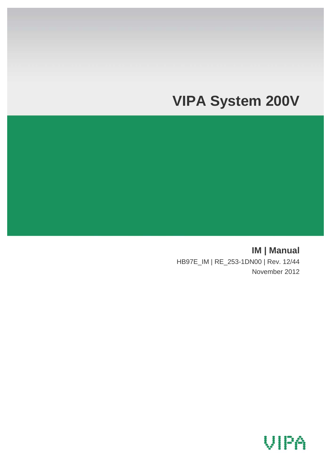# **VIPA System 200V**

**IM | Manual**  HB97E\_IM | RE\_253-1DN00 | Rev. 12/44 November 2012

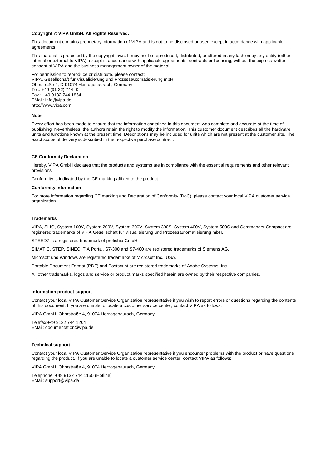#### **Copyright © VIPA GmbH. All Rights Reserved.**

This document contains proprietary information of VIPA and is not to be disclosed or used except in accordance with applicable agreements.

This material is protected by the copyright laws. It may not be reproduced, distributed, or altered in any fashion by any entity (either internal or external to VIPA), except in accordance with applicable agreements, contracts or licensing, without the express written consent of VIPA and the business management owner of the material.

For permission to reproduce or distribute, please contact: VIPA, Gesellschaft für Visualisierung und Prozessautomatisierung mbH Ohmstraße 4, D-91074 Herzogenaurach, Germany Tel.: +49 (91 32) 744 -0 Fax.: +49 9132 744 1864 EMail: info@vipa.de http://www.vipa.com

#### **Note**

Every effort has been made to ensure that the information contained in this document was complete and accurate at the time of publishing. Nevertheless, the authors retain the right to modify the information. This customer document describes all the hardware units and functions known at the present time. Descriptions may be included for units which are not present at the customer site. The exact scope of delivery is described in the respective purchase contract.

#### **CE Conformity Declaration**

Hereby, VIPA GmbH declares that the products and systems are in compliance with the essential requirements and other relevant provisions.

Conformity is indicated by the CE marking affixed to the product.

#### **Conformity Information**

For more information regarding CE marking and Declaration of Conformity (DoC), please contact your local VIPA customer service organization.

#### **Trademarks**

VIPA, SLIO, System 100V, System 200V, System 300V, System 300S, System 400V, System 500S and Commander Compact are registered trademarks of VIPA Gesellschaft für Visualisierung und Prozessautomatisierung mbH.

SPEED7 is a registered trademark of profichip GmbH.

SIMATIC, STEP, SINEC, TIA Portal, S7-300 and S7-400 are registered trademarks of Siemens AG.

Microsoft und Windows are registered trademarks of Microsoft Inc., USA.

Portable Document Format (PDF) and Postscript are registered trademarks of Adobe Systems, Inc.

All other trademarks, logos and service or product marks specified herein are owned by their respective companies.

#### **Information product support**

Contact your local VIPA Customer Service Organization representative if you wish to report errors or questions regarding the contents of this document. If you are unable to locate a customer service center, contact VIPA as follows:

VIPA GmbH, Ohmstraße 4, 91074 Herzogenaurach, Germany

Telefax:+49 9132 744 1204 EMail: documentation@vipa.de

#### **Technical support**

Contact your local VIPA Customer Service Organization representative if you encounter problems with the product or have questions regarding the product. If you are unable to locate a customer service center, contact VIPA as follows:

VIPA GmbH, Ohmstraße 4, 91074 Herzogenaurach, Germany

Telephone: +49 9132 744 1150 (Hotline) EMail: support@vipa.de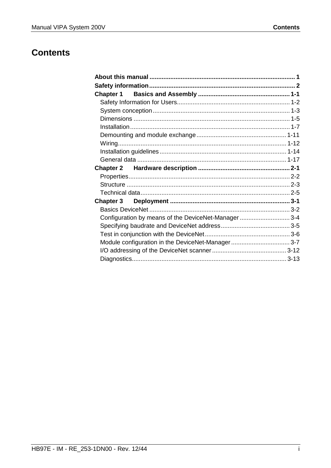### **Contents**

| <b>Chapter 3</b><br>Configuration by means of the DeviceNet-Manager3-4 |  |
|------------------------------------------------------------------------|--|
|                                                                        |  |
|                                                                        |  |
|                                                                        |  |
|                                                                        |  |
|                                                                        |  |
|                                                                        |  |
|                                                                        |  |
|                                                                        |  |
|                                                                        |  |
|                                                                        |  |
|                                                                        |  |
|                                                                        |  |
|                                                                        |  |
|                                                                        |  |
|                                                                        |  |
|                                                                        |  |
|                                                                        |  |
|                                                                        |  |
|                                                                        |  |
|                                                                        |  |
|                                                                        |  |
|                                                                        |  |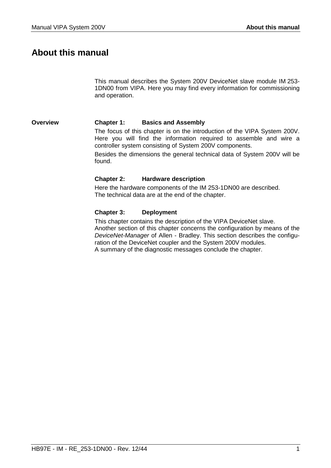### <span id="page-4-0"></span>**About this manual**

This manual describes the System 200V DeviceNet slave module IM 253- 1DN00 from VIPA. Here you may find every information for commissioning and operation.

#### **Chapter 1: Basics and Assembly Overview**

The focus of this chapter is on the introduction of the VIPA System 200V. Here you will find the information required to assemble and wire a controller system consisting of System 200V components.

Besides the dimensions the general technical data of System 200V will be found.

#### **Chapter 2: Hardware description**

Here the hardware components of the IM 253-1DN00 are described. The technical data are at the end of the chapter.

#### **Chapter 3: Deployment**

This chapter contains the description of the VIPA DeviceNet slave. Another section of this chapter concerns the configuration by means of the *DeviceNet-Manager* of Allen - Bradley. This section describes the configuration of the DeviceNet coupler and the System 200V modules. A summary of the diagnostic messages conclude the chapter.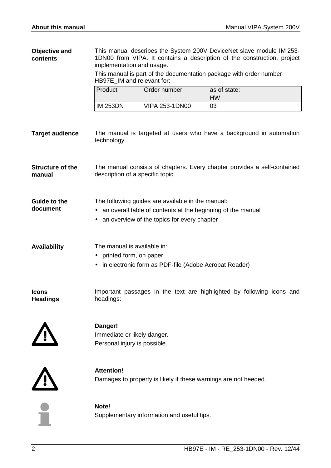This manual describes the System 200V DeviceNet slave module IM 253- 1DN00 from VIPA. It contains a description of the construction, project implementation and usage. This manual is part of the documentation package with order number HB97E IM and relevant for: Product | Order number | as of state: HW  $IM 253DN$   $VIPA 253-1DN00$   $|03$ The manual is targeted at users who have a background in automation technology. The manual consists of chapters. Every chapter provides a self-contained description of a specific topic. The following guides are available in the manual: • an overall table of contents at the beginning of the manual • an overview of the topics for every chapter The manual is available in: • printed form, on paper • in electronic form as PDF-file (Adobe Acrobat Reader) Important passages in the text are highlighted by following icons and headings: **Danger!**  Immediate or likely danger. Personal injury is possible. **Attention!**  Damages to property is likely if these warnings are not heeded. **Note! Objective and contents Target audience Structure of the manual Guide to the document Availability Icons Headings** 

Supplementary information and useful tips.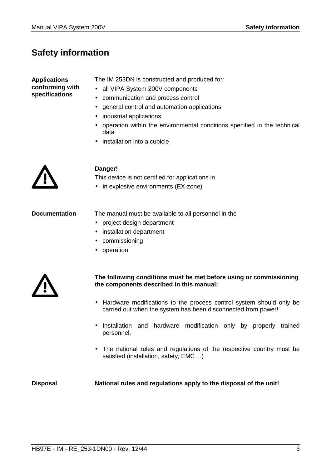## <span id="page-6-0"></span>**Safety information**

**Applications conforming with specifications** 

The IM 253DN is constructed and produced for:

- all VIPA System 200V components
- communication and process control
- general control and automation applications
- industrial applications
- operation within the environmental conditions specified in the technical data
- installation into a cubicle



### **Danger!**

This device is not certified for applications in

• in explosive environments (EX-zone)

**Documentation** 

The manual must be available to all personnel in the

- project design department
- installation department
- commissioning
- operation



### **The following conditions must be met before using or commissioning the components described in this manual:**

- Hardware modifications to the process control system should only be carried out when the system has been disconnected from power!
- Installation and hardware modification only by properly trained personnel.
- The national rules and regulations of the respective country must be satisfied (installation, safety, EMC ...)

**National rules and regulations apply to the disposal of the unit! Disposal**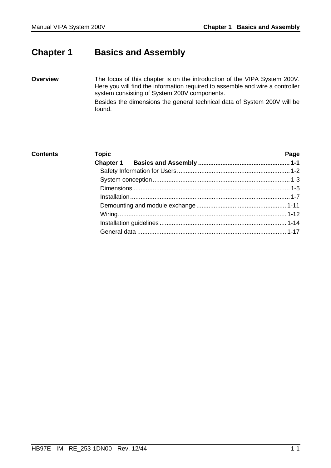### <span id="page-8-0"></span>**Chapter 1 Basics and Assembly**

The focus of this chapter is on the introduction of the VIPA System 200V. Here you will find the information required to assemble and wire a controller system consisting of System 200V components. Besides the dimensions the general technical data of System 200V will be found. **Overview** 

| <b>Contents</b> | <b>Topic</b> | Page |
|-----------------|--------------|------|
|                 |              |      |
|                 |              |      |
|                 |              |      |
|                 |              |      |
|                 |              |      |
|                 |              |      |
|                 |              |      |
|                 |              |      |
|                 |              |      |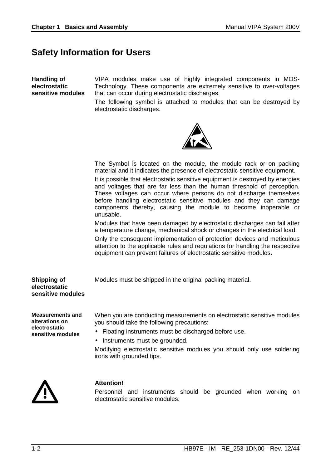### <span id="page-9-0"></span>**Safety Information for Users**

**Handling of electrostatic sensitive modules**  VIPA modules make use of highly integrated components in MOS-Technology. These components are extremely sensitive to over-voltages that can occur during electrostatic discharges.

The following symbol is attached to modules that can be destroyed by electrostatic discharges.



The Symbol is located on the module, the module rack or on packing material and it indicates the presence of electrostatic sensitive equipment.

It is possible that electrostatic sensitive equipment is destroyed by energies and voltages that are far less than the human threshold of perception. These voltages can occur where persons do not discharge themselves before handling electrostatic sensitive modules and they can damage components thereby, causing the module to become inoperable or unusable.

Modules that have been damaged by electrostatic discharges can fail after a temperature change, mechanical shock or changes in the electrical load.

Only the consequent implementation of protection devices and meticulous attention to the applicable rules and regulations for handling the respective equipment can prevent failures of electrostatic sensitive modules.

Modules must be shipped in the original packing material.

**Shipping of electrostatic sensitive modules** 

**Measurements and alterations on electrostatic sensitive modules**

When you are conducting measurements on electrostatic sensitive modules you should take the following precautions:

- Floating instruments must be discharged before use.
- Instruments must be grounded.

Modifying electrostatic sensitive modules you should only use soldering irons with grounded tips.



#### **Attention!**

Personnel and instruments should be grounded when working on electrostatic sensitive modules.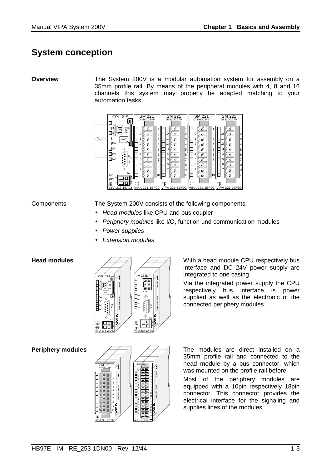### <span id="page-10-0"></span>**System conception**

#### **Overview**

The System 200V is a modular automation system for assembly on a 35mm profile rail. By means of the peripheral modules with 4, 8 and 16 channels this system may properly be adapted matching to your automation tasks.



#### **Components**

The System 200V consists of the following components:

- *Head modules* like CPU and bus coupler
- *Periphery modules* like I/O, function und communication modules
- *Power supplies*
- *Extension modules*

#### **Head modules**



**Periphery modules** 



With a head module CPU respectively bus interface and DC 24V power supply are integrated to one casing.

Via the integrated power supply the CPU respectively bus interface is power supplied as well as the electronic of the connected periphery modules.

The modules are direct installed on a 35mm profile rail and connected to the head module by a bus connector, which was mounted on the profile rail before.

Most of the periphery modules are equipped with a 10pin respectively 18pin connector. This connector provides the electrical interface for the signaling and supplies lines of the modules.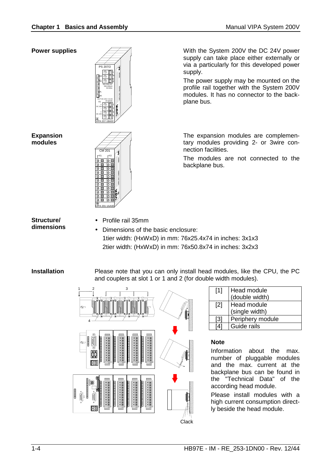#### **Power supplies**



**Expansion modules** 



**Structure/ dimensions** 

- Profile rail 35mm
	- Dimensions of the basic enclosure: 1tier width: (HxWxD) in mm: 76x25.4x74 in inches: 3x1x3 2tier width: (HxWxD) in mm: 76x50.8x74 in inches: 3x2x3

#### **Installation**

Please note that you can only install head modules, like the CPU, the PC and couplers at slot 1 or 1 and 2 (for double width modules).



| $\lceil 1 \rceil$ | Head module<br>(double width) |
|-------------------|-------------------------------|
| $\lceil 2 \rceil$ | Head module<br>(single width) |
| [3]               | Periphery module              |
|                   | Guide rails                   |

#### **Note**

Information about the max. number of pluggable modules and the max. current at the backplane bus can be found in the "Technical Data" of the according head module.

Please install modules with a high current consumption directly beside the head module.

With the System 200V the DC 24V power supply can take place either externally or via a particularly for this developed power supply.

The power supply may be mounted on the profile rail together with the System 200V modules. It has no connector to the backplane bus.

The expansion modules are complementary modules providing 2- or 3wire connection facilities.

The modules are not connected to the backplane bus.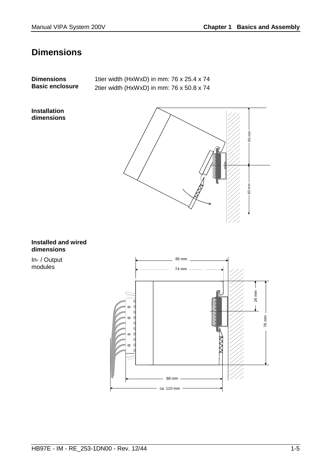## <span id="page-12-0"></span>**Dimensions**

| <b>Dimensions</b><br><b>Basic enclosure</b> | 1tier width (HxWxD) in mm: 76 x 25.4 x 74<br>2tier width (HxWxD) in mm: 76 x 50.8 x 74 |  |
|---------------------------------------------|----------------------------------------------------------------------------------------|--|
| <b>Installation</b><br>dimensions           |                                                                                        |  |



#### **Installed and wired dimensions**

In- / Output modules

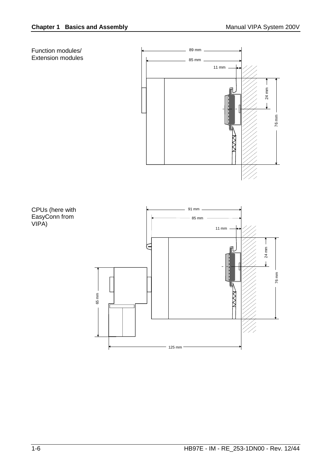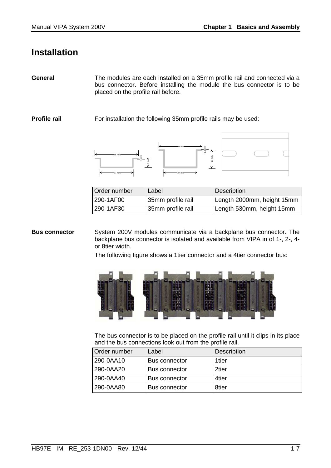### <span id="page-14-0"></span>**Installation**

The modules are each installed on a 35mm profile rail and connected via a bus connector. Before installing the module the bus connector is to be placed on the profile rail before. **General** 

**Profile rail** 

For installation the following 35mm profile rails may be used:





| Order number | Label             | Description                |
|--------------|-------------------|----------------------------|
| 290-1AF00    | 35mm profile rail | Length 2000mm, height 15mm |
| 290-1AF30    | 35mm profile rail | Length 530mm, height 15mm  |

System 200V modules communicate via a backplane bus connector. The backplane bus connector is isolated and available from VIPA in of 1-, 2-, 4 or 8tier width. **Bus connector** 

The following figure shows a 1tier connector and a 4tier connector bus:



The bus connector is to be placed on the profile rail until it clips in its place and the bus connections look out from the profile rail.

| Order number | Label                | <b>Description</b> |
|--------------|----------------------|--------------------|
| 290-0AA10    | <b>Bus connector</b> | 1tier              |
| 290-0AA20    | <b>Bus connector</b> | 2tier              |
| 290-0AA40    | Bus connector        | 4tier              |
| 290-0AA80    | <b>Bus connector</b> | 8tier              |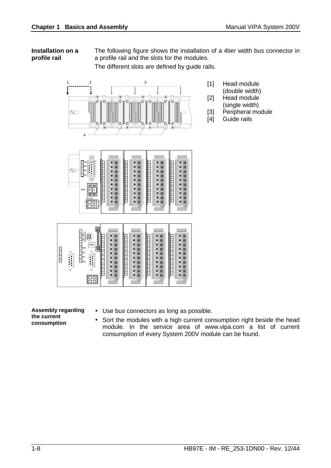#### **Installation on a profile rail**

The following figure shows the installation of a 4tier width bus connector in a profile rail and the slots for the modules.

The different slots are defined by guide rails.



- [1] Head module
	- (double width)
- [2] Head module
	- (single width)
- [3] Peripheral module
- [4] Guide rails





**Assembly regarding the current consumption**

- Use bus connectors as long as possible.
- Sort the modules with a high current consumption right beside the head module. In the service area of www.vipa.com a list of current consumption of every System 200V module can be found.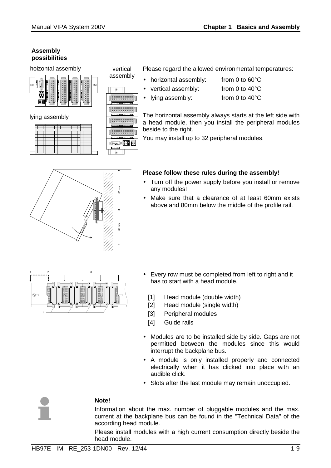#### **Assembly possibilities**

hoizontal assembly





vertical assembly

 $\frac{1}{2}$ 

80 mm

——<br>है ।

60 mm

Please regard the allowed environmental temperatures:

• horizontal assembly: from 0 to 60°C

• vertical assembly: from 0 to 40°C

• Iving assembly: from 0 to 40°C

The horizontal assembly always starts at the left side with a head module, then you install the peripheral modules beside to the right.

You may install up to 32 peripheral modules.

### **Please follow these rules during the assembly!**

- Turn off the power supply before you install or remove any modules!
- Make sure that a clearance of at least 60mm exists above and 80mm below the middle of the profile rail.



- Every row must be completed from left to right and it has to start with a head module.
	- [1] Head module (double width)
	- [2] Head module (single width)
	- [3] Peripheral modules
	- [4] Guide rails
- Modules are to be installed side by side. Gaps are not permitted between the modules since this would interrupt the backplane bus.
- A module is only installed properly and connected electrically when it has clicked into place with an audible click.
- Slots after the last module may remain unoccupied.



### **Note!**

Information about the max. number of pluggable modules and the max. current at the backplane bus can be found in the "Technical Data" of the according head module.

Please install modules with a high current consumption directly beside the head module.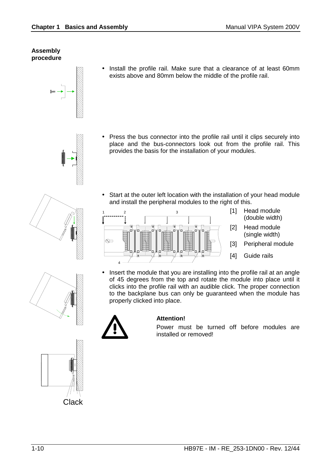#### **Assembly procedure**

- 
- - **Clack**

• Install the profile rail. Make sure that a clearance of at least 60mm exists above and 80mm below the middle of the profile rail.

- Press the bus connector into the profile rail until it clips securely into place and the bus-connectors look out from the profile rail. This provides the basis for the installation of your modules.
- Start at the outer left location with the installation of your head module and install the peripheral modules to the right of this.



- [1] Head module (double width)
- [2] Head module (single width)
- [3] Peripheral module
- [4] Guide rails
- Insert the module that you are installing into the profile rail at an angle of 45 degrees from the top and rotate the module into place until it clicks into the profile rail with an audible click. The proper connection to the backplane bus can only be guaranteed when the module has properly clicked into place.



### **Attention!**

Power must be turned off before modules are installed or removed!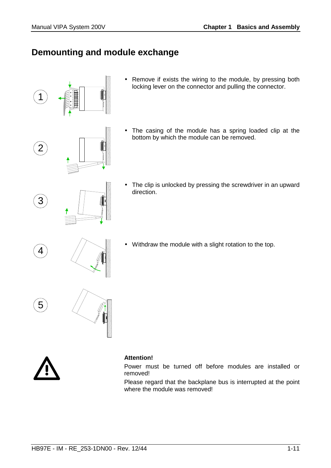### <span id="page-18-0"></span>**Demounting and module exchange**



- Remove if exists the wiring to the module, by pressing both locking lever on the connector and pulling the connector.
- The casing of the module has a spring loaded clip at the bottom by which the module can be removed.
- The clip is unlocked by pressing the screwdriver in an upward direction.
- Withdraw the module with a slight rotation to the top.



#### **Attention!**

Power must be turned off before modules are installed or removed!

Please regard that the backplane bus is interrupted at the point where the module was removed!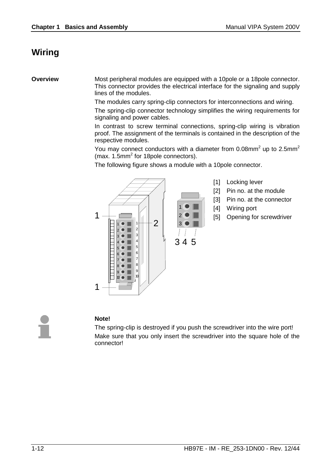### <span id="page-19-0"></span>**Wiring**

**Overview** 

Most peripheral modules are equipped with a 10pole or a 18pole connector. This connector provides the electrical interface for the signaling and supply lines of the modules.

The modules carry spring-clip connectors for interconnections and wiring.

The spring-clip connector technology simplifies the wiring requirements for signaling and power cables.

In contrast to screw terminal connections, spring-clip wiring is vibration proof. The assignment of the terminals is contained in the description of the respective modules.

You may connect conductors with a diameter from 0.08mm<sup>2</sup> up to 2.5mm<sup>2</sup> (max. 1.5mm<sup>2</sup> for 18pole connectors).

The following figure shows a module with a 10pole connector.



- [1] Locking lever
- [2] Pin no. at the module
- [3] Pin no. at the connector
- [4] Wiring port
- [5] Opening for screwdriver

### **Note!**

The spring-clip is destroyed if you push the screwdriver into the wire port! Make sure that you only insert the screwdriver into the square hole of the connector!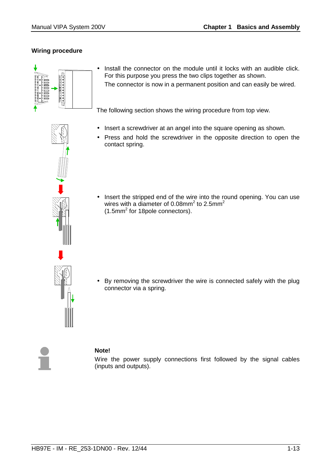### **Wiring procedure**



• Install the connector on the module until it locks with an audible click. For this purpose you press the two clips together as shown. The connector is now in a permanent position and can easily be wired.

The following section shows the wiring procedure from top view.

- Insert a screwdriver at an angel into the square opening as shown.
- Press and hold the screwdriver in the opposite direction to open the contact spring.
- Insert the stripped end of the wire into the round opening. You can use wires with a diameter of 0.08mm<sup>2</sup> to 2.5mm<sup>2</sup> (1.5mm<sup>2</sup> for 18pole connectors).

• By removing the screwdriver the wire is connected safely with the plug connector via a spring.



### **Note!**

Wire the power supply connections first followed by the signal cables (inputs and outputs).

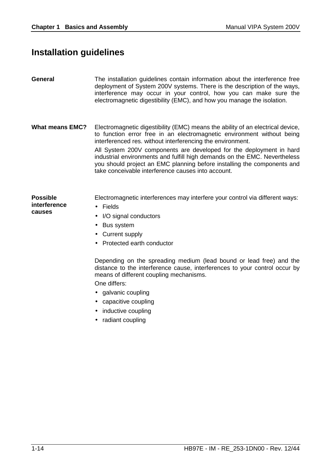## <span id="page-21-0"></span>**Installation guidelines**

| <b>General</b>                            | The installation guidelines contain information about the interference free<br>deployment of System 200V systems. There is the description of the ways,<br>interference may occur in your control, how you can make sure the<br>electromagnetic digestibility (EMC), and how you manage the isolation.                                                                                                                                                                                                      |
|-------------------------------------------|-------------------------------------------------------------------------------------------------------------------------------------------------------------------------------------------------------------------------------------------------------------------------------------------------------------------------------------------------------------------------------------------------------------------------------------------------------------------------------------------------------------|
| <b>What means EMC?</b>                    | Electromagnetic digestibility (EMC) means the ability of an electrical device,<br>to function error free in an electromagnetic environment without being<br>interferenced res. without interferencing the environment.<br>All System 200V components are developed for the deployment in hard<br>industrial environments and fulfill high demands on the EMC. Nevertheless<br>you should project an EMC planning before installing the components and<br>take conceivable interference causes into account. |
| <b>Possible</b><br>interference<br>causes | Electromagnetic interferences may interfere your control via different ways:<br>Fields<br>$\bullet$<br>I/O signal conductors<br><b>Bus system</b><br>Current supply<br>Protected earth conductor<br>Depending on the spreading medium (lead bound or lead free) and the<br>distance to the interference cause, interferences to your control occur by<br>means of different coupling mechanisms.<br>One differs:<br>• galvanic coupling<br>capacitive coupling<br>inductive coupling<br>• radiant coupling  |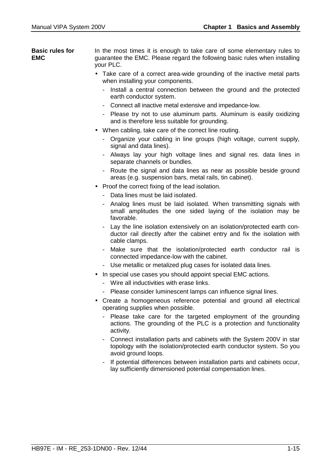In the most times it is enough to take care of some elementary rules to guarantee the EMC. Please regard the following basic rules when installing your PLC. **Basic rules for EMC** 

- Take care of a correct area-wide grounding of the inactive metal parts when installing your components.
	- Install a central connection between the ground and the protected earth conductor system.
	- Connect all inactive metal extensive and impedance-low.
	- Please try not to use aluminum parts. Aluminum is easily oxidizing and is therefore less suitable for grounding.
- When cabling, take care of the correct line routing.
	- Organize your cabling in line groups (high voltage, current supply, signal and data lines).
	- Always lay your high voltage lines and signal res. data lines in separate channels or bundles.
	- Route the signal and data lines as near as possible beside ground areas (e.g. suspension bars, metal rails, tin cabinet).
- Proof the correct fixing of the lead isolation.
	- Data lines must be laid isolated.
	- Analog lines must be laid isolated. When transmitting signals with small amplitudes the one sided laying of the isolation may be favorable.
	- Lay the line isolation extensively on an isolation/protected earth conductor rail directly after the cabinet entry and fix the isolation with cable clamps.
	- Make sure that the isolation/protected earth conductor rail is connected impedance-low with the cabinet.
	- Use metallic or metalized plug cases for isolated data lines.
- In special use cases you should appoint special EMC actions.
	- Wire all inductivities with erase links.
	- Please consider luminescent lamps can influence signal lines.
- Create a homogeneous reference potential and ground all electrical operating supplies when possible.
	- Please take care for the targeted employment of the grounding actions. The grounding of the PLC is a protection and functionality activity.
	- Connect installation parts and cabinets with the System 200V in star topology with the isolation/protected earth conductor system. So you avoid ground loops.
	- If potential differences between installation parts and cabinets occur, lay sufficiently dimensioned potential compensation lines.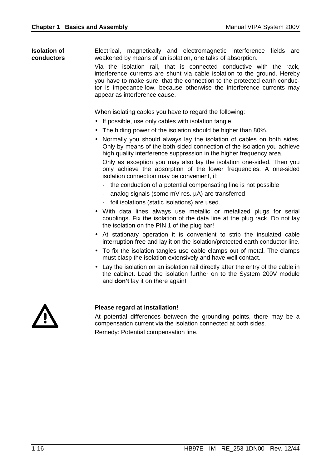Electrical, magnetically and electromagnetic interference fields are weakened by means of an isolation, one talks of absorption. **Isolation of conductors** 

Via the isolation rail, that is connected conductive with the rack, interference currents are shunt via cable isolation to the ground. Hereby you have to make sure, that the connection to the protected earth conductor is impedance-low, because otherwise the interference currents may appear as interference cause.

When isolating cables you have to regard the following:

- If possible, use only cables with isolation tangle.
- The hiding power of the isolation should be higher than 80%.
- Normally you should always lay the isolation of cables on both sides. Only by means of the both-sided connection of the isolation you achieve high quality interference suppression in the higher frequency area.

Only as exception you may also lay the isolation one-sided. Then you only achieve the absorption of the lower frequencies. A one-sided isolation connection may be convenient, if:

- the conduction of a potential compensating line is not possible
- analog signals (some mV res. µA) are transferred
- foil isolations (static isolations) are used.
- With data lines always use metallic or metalized plugs for serial couplings. Fix the isolation of the data line at the plug rack. Do not lay the isolation on the PIN 1 of the plug bar!
- At stationary operation it is convenient to strip the insulated cable interruption free and lay it on the isolation/protected earth conductor line.
- To fix the isolation tangles use cable clamps out of metal. The clamps must clasp the isolation extensively and have well contact.
- Lay the isolation on an isolation rail directly after the entry of the cable in the cabinet. Lead the isolation further on to the System 200V module and **don't** lay it on there again!



#### **Please regard at installation!**

At potential differences between the grounding points, there may be a compensation current via the isolation connected at both sides. Remedy: Potential compensation line.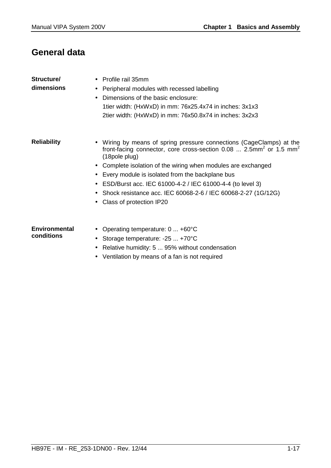## <span id="page-24-0"></span>**General data**

| Structure/<br>dimensions           | Profile rail 35mm<br>Peripheral modules with recessed labelling<br>$\bullet$<br>Dimensions of the basic enclosure:<br>1tier width: (HxWxD) in mm: 76x25.4x74 in inches: 3x1x3<br>2tier width: (HxWxD) in mm: 76x50.8x74 in inches: 3x2x3                                                                                                                                                                                                                                      |
|------------------------------------|-------------------------------------------------------------------------------------------------------------------------------------------------------------------------------------------------------------------------------------------------------------------------------------------------------------------------------------------------------------------------------------------------------------------------------------------------------------------------------|
| <b>Reliability</b>                 | Wiring by means of spring pressure connections (CageClamps) at the<br>front-facing connector, core cross-section 0.08  2.5mm <sup>2</sup> or 1.5 mm <sup>2</sup><br>(18 pole plug)<br>Complete isolation of the wiring when modules are exchanged<br>Every module is isolated from the backplane bus<br>• ESD/Burst acc. IEC 61000-4-2 / IEC 61000-4-4 (to level 3)<br>Shock resistance acc. IEC 60068-2-6 / IEC 60068-2-27 (1G/12G)<br>Class of protection IP20<br>$\bullet$ |
| <b>Environmental</b><br>conditions | Operating temperature: 0  +60°C<br>Storage temperature: -25  +70°C<br>Relative humidity: 5  95% without condensation<br>Ventilation by means of a fan is not required                                                                                                                                                                                                                                                                                                         |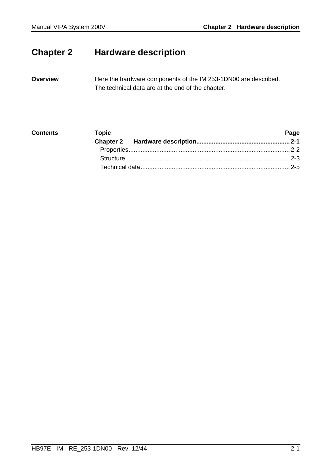## <span id="page-26-0"></span>**Chapter 2 Hardware description**

Here the hardware components of the IM 253-1DN00 are described. The technical data are at the end of the chapter. **Overview** 

| <b>Contents</b> | <b>Topic</b> | Page |
|-----------------|--------------|------|
|                 |              |      |
|                 |              |      |
|                 |              |      |
|                 |              |      |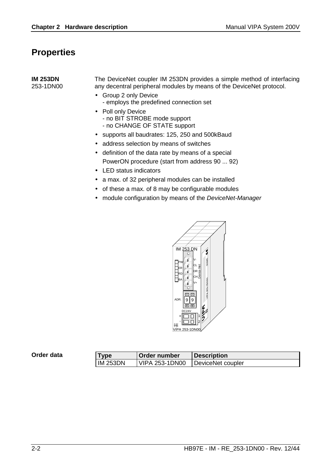### <span id="page-27-0"></span>**Properties**

| <b>IM 253DN</b><br>253-1DN00 | The DeviceNet coupler IM 253DN provides a simple method of interfacing<br>any decentral peripheral modules by means of the DeviceNet protocol. |
|------------------------------|------------------------------------------------------------------------------------------------------------------------------------------------|
|                              | • Group 2 only Device<br>- employs the predefined connection set                                                                               |
|                              | • Poll only Device<br>- no BIT STROBE mode support<br>- no CHANGE OF STATE support                                                             |
|                              | • supports all baudrates: 125, 250 and 500kBaud                                                                                                |
|                              | • address selection by means of switches                                                                                                       |

- definition of the data rate by means of a special PowerON procedure (start from address 90 ... 92)
- LED status indicators
- a max. of 32 peripheral modules can be installed
- of these a max. of 8 may be configurable modules
- module configuration by means of the *DeviceNet-Manager*



| Order data | <b>Tvpe</b>     | Order number          | <b>Description</b> |  |
|------------|-----------------|-----------------------|--------------------|--|
|            | <b>IM 253DN</b> | <b>VIPA 253-1DN00</b> | DeviceNet coupler  |  |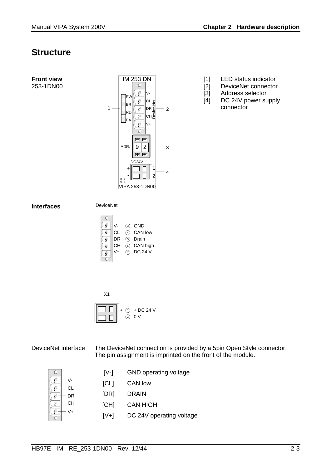### <span id="page-28-0"></span>**Structure**

**Front view**  253-1DN00



- [1] LED status indicator
- [2] DeviceNet connector
- [3] Address selector
- [4] DC 24V power supply connector

#### **Interfaces**

DeviceNet





DeviceNet interface

The DeviceNet connection is provided by a 5pin Open Style connector. The pin assignment is imprinted on the front of the module.

|    | $[V-]$ | <b>GND</b> operating voltage |
|----|--------|------------------------------|
| СL | [CL]   | CAN low                      |
| DR | [DR]   | DRAIN                        |
| CН | [CH]   | <b>CAN HIGH</b>              |
| V+ | $[V+]$ | DC 24V operating voltage     |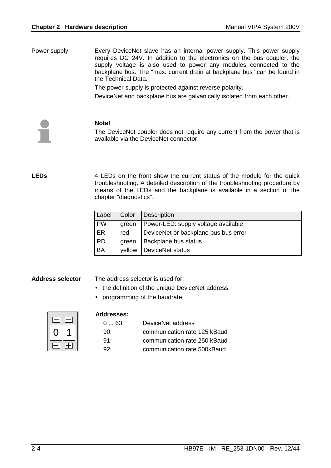Every DeviceNet slave has an internal power supply. This power supply requires DC 24V. In addition to the electronics on the bus coupler, the supply voltage is also used to power any modules connected to the backplane bus. The "max. current drain at backplane bus" can be found in the Technical Data. Power supply

The power supply is protected against reverse polarity.

DeviceNet and backplane bus are galvanically isolated from each other.



#### **Note!**

The DeviceNet coupler does not require any current from the power that is available via the DeviceNet connector.

**LEDs** 

4 LEDs on the front show the current status of the module for the quick troubleshooting. A detailed description of the troubleshooting procedure by means of the LEDs and the backplane is available in a section of the chapter "diagnostics".

| Label     | Color  | <b>Description</b>                   |
|-----------|--------|--------------------------------------|
| <b>PW</b> | green  | Power-LED: supply voltage available  |
| ER        | red    | DeviceNet or backplane bus bus error |
| <b>RD</b> | green  | Backplane bus status                 |
| <b>BA</b> | vellow | DeviceNet status                     |

#### **Address selector**

The address selector is used for:

- the definition of the unique DeviceNet address
- programming of the baudrate

#### **Addresses:**

| 063:       | DeviceNet address            |
|------------|------------------------------|
| 90 $\cdot$ | communication rate 125 kBaud |
| $91 -$     | communication rate 250 kBaud |
| Q2         | communication rate 500kBaud  |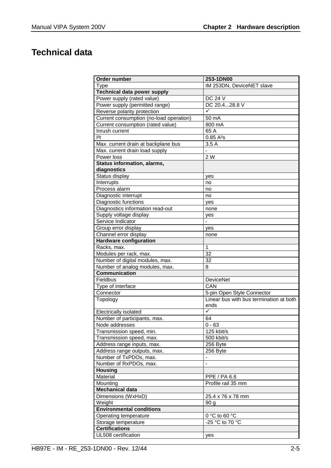## <span id="page-30-0"></span>**Technical data**

| 253-1DN00<br>Order number<br>IM 253DN, DeviceNET slave<br>Type<br><b>Technical data power supply</b><br>Power supply (rated value)<br><b>DC 24 V</b><br>DC 20.428.8 V<br>Power supply (permitted range)<br>Reverse polarity protection<br>Current consumption (no-load operation)<br>50 mA<br>Current consumption (rated value)<br>800 mA<br>65 A<br>Inrush current<br> 2t <br>0.85A <sup>2</sup> s<br>3.5A<br>Max. current drain at backplane bus<br>Max. current drain load supply<br>$\overline{a}$<br>2 W<br>Power loss<br>Status information, alarms,<br>diagnostics<br>Status display<br>yes<br>Interrupts<br>no<br>Process alarm<br>no<br>Diagnostic interrupt<br>no<br>Diagnostic functions<br>ves<br>Diagnostics information read-out<br>none<br>Supply voltage display<br>yes<br>Service Indicator<br>$\qquad \qquad \blacksquare$<br>Group error display<br>yes |
|----------------------------------------------------------------------------------------------------------------------------------------------------------------------------------------------------------------------------------------------------------------------------------------------------------------------------------------------------------------------------------------------------------------------------------------------------------------------------------------------------------------------------------------------------------------------------------------------------------------------------------------------------------------------------------------------------------------------------------------------------------------------------------------------------------------------------------------------------------------------------|
|                                                                                                                                                                                                                                                                                                                                                                                                                                                                                                                                                                                                                                                                                                                                                                                                                                                                            |
|                                                                                                                                                                                                                                                                                                                                                                                                                                                                                                                                                                                                                                                                                                                                                                                                                                                                            |
|                                                                                                                                                                                                                                                                                                                                                                                                                                                                                                                                                                                                                                                                                                                                                                                                                                                                            |
|                                                                                                                                                                                                                                                                                                                                                                                                                                                                                                                                                                                                                                                                                                                                                                                                                                                                            |
|                                                                                                                                                                                                                                                                                                                                                                                                                                                                                                                                                                                                                                                                                                                                                                                                                                                                            |
|                                                                                                                                                                                                                                                                                                                                                                                                                                                                                                                                                                                                                                                                                                                                                                                                                                                                            |
|                                                                                                                                                                                                                                                                                                                                                                                                                                                                                                                                                                                                                                                                                                                                                                                                                                                                            |
|                                                                                                                                                                                                                                                                                                                                                                                                                                                                                                                                                                                                                                                                                                                                                                                                                                                                            |
|                                                                                                                                                                                                                                                                                                                                                                                                                                                                                                                                                                                                                                                                                                                                                                                                                                                                            |
|                                                                                                                                                                                                                                                                                                                                                                                                                                                                                                                                                                                                                                                                                                                                                                                                                                                                            |
|                                                                                                                                                                                                                                                                                                                                                                                                                                                                                                                                                                                                                                                                                                                                                                                                                                                                            |
|                                                                                                                                                                                                                                                                                                                                                                                                                                                                                                                                                                                                                                                                                                                                                                                                                                                                            |
|                                                                                                                                                                                                                                                                                                                                                                                                                                                                                                                                                                                                                                                                                                                                                                                                                                                                            |
|                                                                                                                                                                                                                                                                                                                                                                                                                                                                                                                                                                                                                                                                                                                                                                                                                                                                            |
|                                                                                                                                                                                                                                                                                                                                                                                                                                                                                                                                                                                                                                                                                                                                                                                                                                                                            |
|                                                                                                                                                                                                                                                                                                                                                                                                                                                                                                                                                                                                                                                                                                                                                                                                                                                                            |
|                                                                                                                                                                                                                                                                                                                                                                                                                                                                                                                                                                                                                                                                                                                                                                                                                                                                            |
|                                                                                                                                                                                                                                                                                                                                                                                                                                                                                                                                                                                                                                                                                                                                                                                                                                                                            |
|                                                                                                                                                                                                                                                                                                                                                                                                                                                                                                                                                                                                                                                                                                                                                                                                                                                                            |
|                                                                                                                                                                                                                                                                                                                                                                                                                                                                                                                                                                                                                                                                                                                                                                                                                                                                            |
|                                                                                                                                                                                                                                                                                                                                                                                                                                                                                                                                                                                                                                                                                                                                                                                                                                                                            |
|                                                                                                                                                                                                                                                                                                                                                                                                                                                                                                                                                                                                                                                                                                                                                                                                                                                                            |
|                                                                                                                                                                                                                                                                                                                                                                                                                                                                                                                                                                                                                                                                                                                                                                                                                                                                            |
|                                                                                                                                                                                                                                                                                                                                                                                                                                                                                                                                                                                                                                                                                                                                                                                                                                                                            |
| Channel error display<br>none                                                                                                                                                                                                                                                                                                                                                                                                                                                                                                                                                                                                                                                                                                                                                                                                                                              |
| <b>Hardware configuration</b>                                                                                                                                                                                                                                                                                                                                                                                                                                                                                                                                                                                                                                                                                                                                                                                                                                              |
| $\mathbf{1}$<br>Racks, max.                                                                                                                                                                                                                                                                                                                                                                                                                                                                                                                                                                                                                                                                                                                                                                                                                                                |
| 32<br>Modules per rack, max.                                                                                                                                                                                                                                                                                                                                                                                                                                                                                                                                                                                                                                                                                                                                                                                                                                               |
| 32<br>Number of digital modules, max.                                                                                                                                                                                                                                                                                                                                                                                                                                                                                                                                                                                                                                                                                                                                                                                                                                      |
| Number of analog modules, max.<br>8                                                                                                                                                                                                                                                                                                                                                                                                                                                                                                                                                                                                                                                                                                                                                                                                                                        |
| <b>Communication</b>                                                                                                                                                                                                                                                                                                                                                                                                                                                                                                                                                                                                                                                                                                                                                                                                                                                       |
| Fieldbus<br><b>DeviceNet</b>                                                                                                                                                                                                                                                                                                                                                                                                                                                                                                                                                                                                                                                                                                                                                                                                                                               |
| Type of interface<br>CAN                                                                                                                                                                                                                                                                                                                                                                                                                                                                                                                                                                                                                                                                                                                                                                                                                                                   |
| Connector<br>5-pin Open Style Connector                                                                                                                                                                                                                                                                                                                                                                                                                                                                                                                                                                                                                                                                                                                                                                                                                                    |
| Linear bus with bus termination at both<br>Topology                                                                                                                                                                                                                                                                                                                                                                                                                                                                                                                                                                                                                                                                                                                                                                                                                        |
| ends                                                                                                                                                                                                                                                                                                                                                                                                                                                                                                                                                                                                                                                                                                                                                                                                                                                                       |
| ✓<br>Electrically isolated                                                                                                                                                                                                                                                                                                                                                                                                                                                                                                                                                                                                                                                                                                                                                                                                                                                 |
| Number of participants, max.<br>64                                                                                                                                                                                                                                                                                                                                                                                                                                                                                                                                                                                                                                                                                                                                                                                                                                         |
| Node addresses<br>$0 - 63$                                                                                                                                                                                                                                                                                                                                                                                                                                                                                                                                                                                                                                                                                                                                                                                                                                                 |
| 125 kbit/s<br>Transmission speed, min.                                                                                                                                                                                                                                                                                                                                                                                                                                                                                                                                                                                                                                                                                                                                                                                                                                     |
| Transmission speed, max.<br>500 kbit/s                                                                                                                                                                                                                                                                                                                                                                                                                                                                                                                                                                                                                                                                                                                                                                                                                                     |
| Address range inputs, max.<br>256 Byte                                                                                                                                                                                                                                                                                                                                                                                                                                                                                                                                                                                                                                                                                                                                                                                                                                     |
| 256 Byte<br>Address range outputs, max.                                                                                                                                                                                                                                                                                                                                                                                                                                                                                                                                                                                                                                                                                                                                                                                                                                    |
| Number of TxPDOs, max.<br>$\blacksquare$                                                                                                                                                                                                                                                                                                                                                                                                                                                                                                                                                                                                                                                                                                                                                                                                                                   |
| Number of RxPDOs, max.<br>$\overline{a}$                                                                                                                                                                                                                                                                                                                                                                                                                                                                                                                                                                                                                                                                                                                                                                                                                                   |
| <b>Housing</b>                                                                                                                                                                                                                                                                                                                                                                                                                                                                                                                                                                                                                                                                                                                                                                                                                                                             |
| Material<br>PPE / PA 6.6                                                                                                                                                                                                                                                                                                                                                                                                                                                                                                                                                                                                                                                                                                                                                                                                                                                   |
| Profile rail 35 mm<br>Mounting                                                                                                                                                                                                                                                                                                                                                                                                                                                                                                                                                                                                                                                                                                                                                                                                                                             |
| <b>Mechanical data</b>                                                                                                                                                                                                                                                                                                                                                                                                                                                                                                                                                                                                                                                                                                                                                                                                                                                     |
| Dimensions (WxHxD)<br>25.4 x 76 x 78 mm                                                                                                                                                                                                                                                                                                                                                                                                                                                                                                                                                                                                                                                                                                                                                                                                                                    |
| Weight<br>90 <sub>g</sub>                                                                                                                                                                                                                                                                                                                                                                                                                                                                                                                                                                                                                                                                                                                                                                                                                                                  |
| <b>Environmental conditions</b>                                                                                                                                                                                                                                                                                                                                                                                                                                                                                                                                                                                                                                                                                                                                                                                                                                            |
| Operating temperature<br>0 °C to 60 °C                                                                                                                                                                                                                                                                                                                                                                                                                                                                                                                                                                                                                                                                                                                                                                                                                                     |
| -25 °C to 70 °C<br>Storage temperature                                                                                                                                                                                                                                                                                                                                                                                                                                                                                                                                                                                                                                                                                                                                                                                                                                     |
| <b>Certifications</b>                                                                                                                                                                                                                                                                                                                                                                                                                                                                                                                                                                                                                                                                                                                                                                                                                                                      |
| UL508 certification<br>yes                                                                                                                                                                                                                                                                                                                                                                                                                                                                                                                                                                                                                                                                                                                                                                                                                                                 |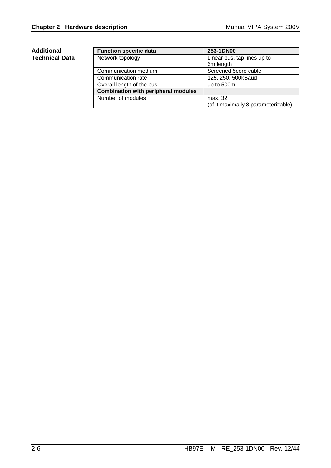#### **Additional Technical Data**

| <b>Function specific data</b>              | 253-1DN00                           |
|--------------------------------------------|-------------------------------------|
| Network topology                           | Linear bus, tap lines up to         |
|                                            | 6m length                           |
| Communication medium                       | Screened 5core cable                |
| Communication rate                         | 125, 250, 500kBaud                  |
| Overall length of the bus                  | up to 500m                          |
| <b>Combination with peripheral modules</b> |                                     |
| Number of modules                          | max. 32                             |
|                                            | (of it maximally 8 parameterizable) |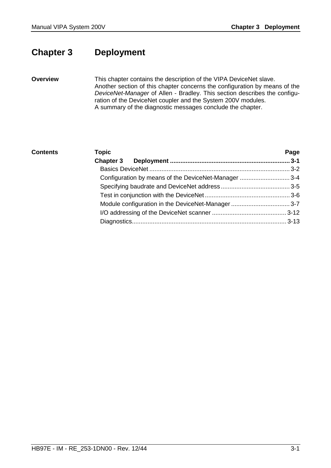## <span id="page-32-0"></span>**Chapter 3 Deployment**

**Overview** 

This chapter contains the description of the VIPA DeviceNet slave. Another section of this chapter concerns the configuration by means of the *DeviceNet-Manager* of Allen - Bradley. This section describes the configuration of the DeviceNet coupler and the System 200V modules. A summary of the diagnostic messages conclude the chapter.

### **Topic Page Chapter 3 Deployment ..................................................................... 3-1** [Basics DeviceNet ................................................................................. 3-2](#page-33-0) [Configuration by means of the DeviceNet-Manager ............................. 3-4](#page-35-0) [Specifying baudrate and DeviceNet address........................................ 3-5](#page-36-0) [Test in conjunction with the DeviceNet ................................................. 3-6](#page-37-0) [Module configuration in the DeviceNet-Manager .................................. 3-7](#page-38-0) [I/O addressing of the DeviceNet scanner ........................................... 3-12](#page-43-0) [Diagnostics......................................................................................... 3-13](#page-44-0) **Contents**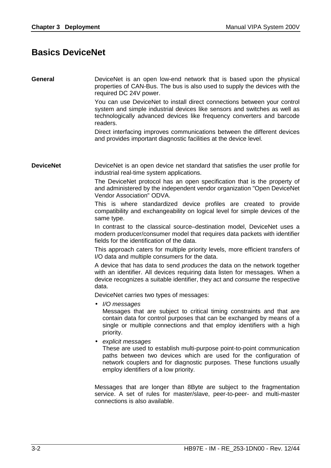### <span id="page-33-0"></span>**Basics DeviceNet**

| <b>General</b>   | DeviceNet is an open low-end network that is based upon the physical<br>properties of CAN-Bus. The bus is also used to supply the devices with the<br>required DC 24V power.<br>You can use DeviceNet to install direct connections between your control<br>system and simple industrial devices like sensors and switches as well as<br>technologically advanced devices like frequency converters and barcode<br>readers. |
|------------------|-----------------------------------------------------------------------------------------------------------------------------------------------------------------------------------------------------------------------------------------------------------------------------------------------------------------------------------------------------------------------------------------------------------------------------|
|                  | Direct interfacing improves communications between the different devices<br>and provides important diagnostic facilities at the device level.                                                                                                                                                                                                                                                                               |
| <b>DeviceNet</b> | DeviceNet is an open device net standard that satisfies the user profile for<br>industrial real-time system applications.<br>The DeviceNet protocol has an open specification that is the property of                                                                                                                                                                                                                       |
|                  | and administered by the independent vendor organization "Open DeviceNet<br>Vendor Association" ODVA.                                                                                                                                                                                                                                                                                                                        |
|                  | This is where standardized device profiles are created to provide<br>compatibility and exchangeability on logical level for simple devices of the<br>same type.                                                                                                                                                                                                                                                             |
|                  | In contrast to the classical source–destination model, DeviceNet uses a<br>modern producer/consumer model that requires data packets with identifier<br>fields for the identification of the data.                                                                                                                                                                                                                          |
|                  | This approach caters for multiple priority levels, more efficient transfers of<br>I/O data and multiple consumers for the data.                                                                                                                                                                                                                                                                                             |
|                  | A device that has data to send <i>produces</i> the data on the network together<br>with an identifier. All devices requiring data listen for messages. When a<br>device recognizes a suitable identifier, they act and consume the respective<br>data.                                                                                                                                                                      |
|                  | DeviceNet carries two types of messages:                                                                                                                                                                                                                                                                                                                                                                                    |
|                  | $\bullet$ //O messages<br>Messages that are subject to critical timing constraints and that are<br>contain data for control purposes that can be exchanged by means of a<br>single or multiple connections and that employ identifiers with a high<br>priority.                                                                                                                                                             |
|                  | explicit messages<br>These are used to establish multi-purpose point-to-point communication<br>paths between two devices which are used for the configuration of<br>network couplers and for diagnostic purposes. These functions usually<br>employ identifiers of a low priority.                                                                                                                                          |
|                  | Messages that are longer than 8Byte are subject to the fragmentation<br>service. A set of rules for master/slave, peer-to-peer- and multi-master<br>connections is also available.                                                                                                                                                                                                                                          |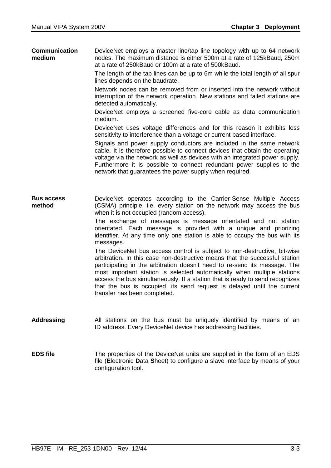| <b>Communication</b> | DeviceNet employs a master line/tap line topology with up to 64 network |
|----------------------|-------------------------------------------------------------------------|
| medium               | nodes. The maximum distance is either 500m at a rate of 125kBaud, 250m  |
|                      | at a rate of 250kBaud or 100m at a rate of 500kBaud.                    |

The length of the tap lines can be up to 6m while the total length of all spur lines depends on the baudrate.

Network nodes can be removed from or inserted into the network without interruption of the network operation. New stations and failed stations are detected automatically.

DeviceNet employs a screened five-core cable as data communication medium.

DeviceNet uses voltage differences and for this reason it exhibits less sensitivity to interference than a voltage or current based interface.

Signals and power supply conductors are included in the same network cable. It is therefore possible to connect devices that obtain the operating voltage via the network as well as devices with an integrated power supply. Furthermore it is possible to connect redundant power supplies to the network that guarantees the power supply when required.

DeviceNet operates according to the Carrier-Sense Multiple Access (CSMA) principle, i.e. every station on the network may access the bus when it is not occupied (random access). **Bus access method** 

> The exchange of messages is message orientated and not station orientated. Each message is provided with a unique and priorizing identifier. At any time only one station is able to occupy the bus with its messages.

> The DeviceNet bus access control is subject to non-destructive, bit-wise arbitration. In this case non-destructive means that the successful station participating in the arbitration doesn't need to re-send its message. The most important station is selected automatically when multiple stations access the bus simultaneously. If a station that is ready to send recognizes that the bus is occupied, its send request is delayed until the current transfer has been completed.

- All stations on the bus must be uniquely identified by means of an ID address. Every DeviceNet device has addressing facilities. **Addressing**
- The properties of the DeviceNet units are supplied in the form of an EDS file (**E**lectronic **D**ata **S**heet) to configure a slave interface by means of your configuration tool. **EDS file**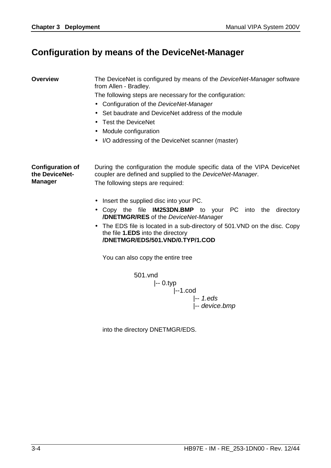### <span id="page-35-0"></span>**Configuration by means of the DeviceNet-Manager**

#### **Overview**

The DeviceNet is configured by means of the *DeviceNet-Manager* software from Allen - Bradley.

The following steps are necessary for the configuration:

- Configuration of the *DeviceNet-Manager*
- Set baudrate and DeviceNet address of the module
- Test the DeviceNet
- Module configuration
- I/O addressing of the DeviceNet scanner (master)

During the configuration the module specific data of the VIPA DeviceNet coupler are defined and supplied to the *DeviceNet-Manager*. The following steps are required: **Configuration of the DeviceNet-Manager** 

- Insert the supplied disc into your PC.
- Copy the file **IM253DN.BMP** to your PC into the directory **/DNETMGR/RES** of the *DeviceNet-Manager*
- The EDS file is located in a sub-directory of 501.VND on the disc. Copy the file **1.EDS** into the directory **/DNETMGR/EDS/501.VND/0.TYP/1.COD**

You can also copy the entire tree

$$
501.vnd
$$
 
$$
|-0.typ
$$
 
$$
|-1.cod
$$
 
$$
|-1.eds
$$
 
$$
|-e
$$
 
$$
-device.bmp
$$

into the directory DNETMGR/EDS.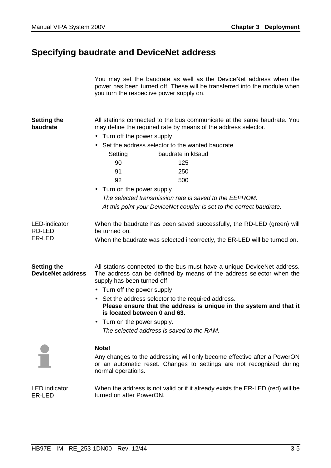### <span id="page-36-0"></span>**Specifying baudrate and DeviceNet address**

| You may set the baudrate as well as the DeviceNet address when the        |
|---------------------------------------------------------------------------|
| power has been turned off. These will be transferred into the module when |
| you turn the respective power supply on.                                  |

All stations connected to the bus communicate at the same baudrate. You may define the required rate by means of the address selector. **Setting the baudrate** 

- Turn off the power supply
- Set the address selector to the wanted baudrate

| Setting | baudrate in kBaud |
|---------|-------------------|
| 90      | 125               |
| 91      | 250               |
| 92      | 500               |

• Turn on the power supply *The selected transmission rate is saved to the EEPROM. At this point your DeviceNet coupler is set to the correct baudrate.* 

When the baudrate has been saved successfully, the RD-LED (green) will be turned on. When the baudrate was selected incorrectly, the ER-LED will be turned on. LED-indicator RD-LED ER-LED

**Setting the DeviceNet address**  All stations connected to the bus must have a unique DeviceNet address. The address can be defined by means of the address selector when the supply has been turned off.

- Turn off the power supply
- Set the address selector to the required address. **Please ensure that the address is unique in the system and that it is located between 0 and 63.**
- Turn on the power supply. *The selected address is saved to the RAM.*



#### **Note!**

Any changes to the addressing will only become effective after a PowerON or an automatic reset. Changes to settings are not recognized during normal operations.

When the address is not valid or if it already exists the ER-LED (red) will be turned on after PowerON. LED indicator ER-LED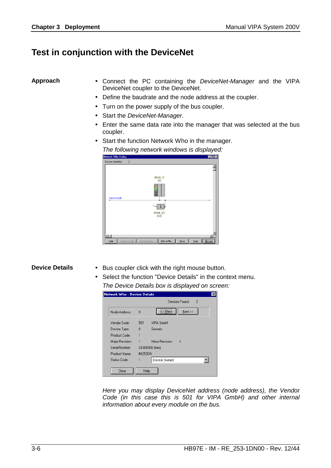### <span id="page-37-0"></span>**Test in conjunction with the DeviceNet**

#### **Approach**

- Connect the PC containing the *DeviceNet-Manager* and the VIPA DeviceNet coupler to the DeviceNet.
- Define the baudrate and the node address at the coupler.
- Turn on the power supply of the bus coupler.
- Start the *DeviceNet-Manager*.
- Enter the same data rate into the manager that was selected at the bus coupler.
- Start the function Network Who in the manager. *The following network windows is displayed:*

| Network Who Dialog  |                |               |                                                     |       |      | uo     |
|---------------------|----------------|---------------|-----------------------------------------------------|-------|------|--------|
| Devices Identified: | $\sqrt{2}$     |               |                                                     |       |      |        |
| DeviceNet           |                | 画圈            | Node 9<br>[9]<br><b>A</b> SI 190<br>Node_62<br>[62] |       |      |        |
|                     |                |               |                                                     |       |      |        |
| Help                | Device Details | Config Device | Print to File                                       | Close | Stop | Rescan |

#### **Device Details**

- Bus coupler click with the right mouse button.
- Select the function "Device Details" in the context menu. *The Device Details box is displayed on screen:*

|                 |                | Devices Found:<br>$\overline{2}$ |
|-----------------|----------------|----------------------------------|
| Node Address:   | 9              | <br>$N$ ext >><br><< Previ       |
| Vendor Code:    | 501            | VIPA GmbH                        |
| Device Type:    | 0              | Generic                          |
| Product Code:   | 1              |                                  |
| Major Revision: | 1              | Minor Revision:<br>4             |
| Serial Number   |                | CE000000 (hex)                   |
| Product Name:   | <b>IM253DN</b> |                                  |
| Status Code:    | 1              | Device Owned                     |

*Here you may display DeviceNet address (node address), the Vendor Code (in this case this is 501 for VIPA GmbH) and other internal information about every module on the bus.*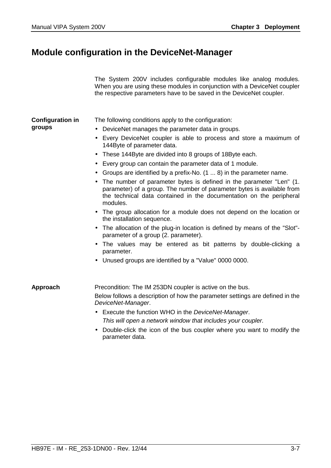## <span id="page-38-0"></span>**Module configuration in the DeviceNet-Manager**

|                                   | The System 200V includes configurable modules like analog modules.<br>When you are using these modules in conjunction with a DeviceNet coupler<br>the respective parameters have to be saved in the DeviceNet coupler.                                                                                                                                                                                                                                                                                                                                                                                                                                                                                                                                                                                                                                                                                                                                                                                                      |
|-----------------------------------|-----------------------------------------------------------------------------------------------------------------------------------------------------------------------------------------------------------------------------------------------------------------------------------------------------------------------------------------------------------------------------------------------------------------------------------------------------------------------------------------------------------------------------------------------------------------------------------------------------------------------------------------------------------------------------------------------------------------------------------------------------------------------------------------------------------------------------------------------------------------------------------------------------------------------------------------------------------------------------------------------------------------------------|
| <b>Configuration in</b><br>groups | The following conditions apply to the configuration:<br>DeviceNet manages the parameter data in groups.<br>Every DeviceNet coupler is able to process and store a maximum of<br>144Byte of parameter data.<br>These 144Byte are divided into 8 groups of 18Byte each.<br>• Every group can contain the parameter data of 1 module.<br>• Groups are identified by a prefix-No. $(1 \dots 8)$ in the parameter name.<br>The number of parameter bytes is defined in the parameter "Len" (1.<br>parameter) of a group. The number of parameter bytes is available from<br>the technical data contained in the documentation on the peripheral<br>modules.<br>• The group allocation for a module does not depend on the location or<br>the installation sequence.<br>The allocation of the plug-in location is defined by means of the "Slot"-<br>parameter of a group (2. parameter).<br>The values may be entered as bit patterns by double-clicking a<br>parameter.<br>Unused groups are identified by a "Value" 0000 0000. |
| Approach                          | Precondition: The IM 253DN coupler is active on the bus.<br>Below follows a description of how the parameter settings are defined in the<br>DeviceNet-Manager.<br>• Execute the function WHO in the DeviceNet-Manager.<br>This will open a network window that includes your coupler.                                                                                                                                                                                                                                                                                                                                                                                                                                                                                                                                                                                                                                                                                                                                       |
|                                   | Double-click the icon of the bus coupler where you want to modify the<br>parameter data.                                                                                                                                                                                                                                                                                                                                                                                                                                                                                                                                                                                                                                                                                                                                                                                                                                                                                                                                    |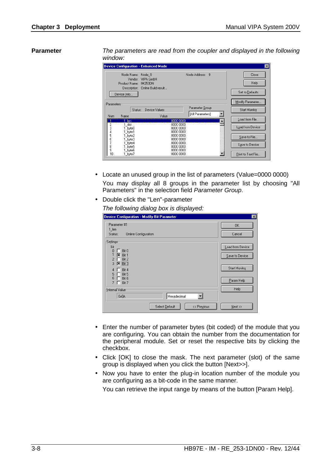#### **Parameter**

*The parameters are read from the coupler and displayed in the following window:* 

| <b>Device Configuration - Enhanced Mode</b>           |                                                                           |                        |                                     |   | $\vert x \vert$                  |
|-------------------------------------------------------|---------------------------------------------------------------------------|------------------------|-------------------------------------|---|----------------------------------|
| Node Name:<br>Vendor:<br>Product Name:<br>Device Info | Node 9<br>VIPA GmbH<br><b>IM253DN</b><br>Description: Online Build result |                        | Node Address: 9                     |   | Close<br>Help<br>Set to Defaults |
| Parameters                                            |                                                                           |                        |                                     |   | Modify Parameter                 |
| Status:                                               | Device Values                                                             |                        | Parameter Group<br>[All Parameters] | ▼ | Start Monitor                    |
| Name<br>Num.                                          | Value                                                                     |                        |                                     |   | Load from File                   |
| len,<br>1 slot                                        |                                                                           | 0000 0000<br>0000 0000 |                                     |   |                                  |
| 2<br>3<br>byte0                                       |                                                                           | 0000 0000              |                                     |   | Load from Device                 |
| 4<br>_byte1<br>5<br>byte2                             |                                                                           | 0000 0000<br>0000 0000 |                                     |   |                                  |
| 6<br>byte3                                            |                                                                           | 0000 0000              |                                     |   | Save to File                     |
| 7<br>byte4                                            |                                                                           | 0000 0000              |                                     |   | Save to Device                   |
| 8<br>byte5<br>9<br>byte6                              |                                                                           | 0000 0000<br>0000 0000 |                                     |   |                                  |
| 10<br>1_byte7                                         |                                                                           | 0000 0000              |                                     |   | Print to Text File               |

- Locate an unused group in the list of parameters (Value=0000 0000) You may display all 8 groups in the parameter list by choosing "All Parameters" in the selection field *Parameter Group*.
- Double click the "Len"-parameter

*The following dialog box is displayed:*

| Device Configuration - Modify Bit Parameter                                                                                                                                    | $\overline{\mathbf{x}}$                                                   |
|--------------------------------------------------------------------------------------------------------------------------------------------------------------------------------|---------------------------------------------------------------------------|
| Parameter #1<br>$1$ len<br>Status:<br><b>Online Configuration</b>                                                                                                              | <b>OK</b><br>Cancel                                                       |
| Settings<br>Bit<br>0<br>Bit 0<br>L<br>区<br>Bit 1<br>Bit 2<br>$\overline{2}$<br>Bit 3<br>3<br> x<br>Bit 4<br>4<br>Bit 5<br>5<br>6<br>Bit 6<br>7<br>Bit 7<br>ш<br>Hnternal Value | Load from Device<br>Save to Device<br>Start Monitor<br>Param Help<br>Help |
| Hexadecimal<br>0x0A                                                                                                                                                            |                                                                           |
| Select Default<br><< Previous                                                                                                                                                  | Next >>                                                                   |

- Enter the number of parameter bytes (bit coded) of the module that you are configuring. You can obtain the number from the documentation for the peripheral module. Set or reset the respective bits by clicking the checkbox.
- Click [OK] to close the mask. The next parameter (slot) of the same group is displayed when you click the button [Next>>].
- Now you have to enter the plug-in location number of the module you are configuring as a bit-code in the same manner.

You can retrieve the input range by means of the button [Param Help].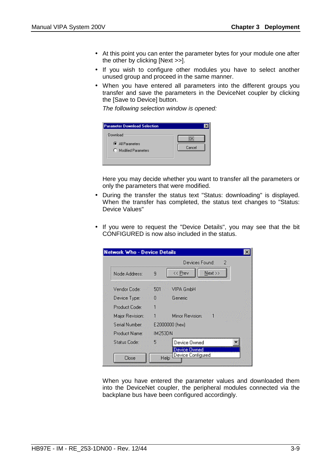- At this point you can enter the parameter bytes for your module one after the other by clicking [Next >>].
- If you wish to configure other modules you have to select another unused group and proceed in the same manner.
- When you have entered all parameters into the different groups you transfer and save the parameters in the DeviceNet coupler by clicking the [Save to Device] button.

*The following selection window is opened:* 

| <b>Parameter Download Selection</b>                    |        |
|--------------------------------------------------------|--------|
| r:Download<br>All Parameters<br>O. Modified Parameters | Cancel |

Here you may decide whether you want to transfer all the parameters or only the parameters that were modified.

- During the transfer the status text "Status: downloading" is displayed. When the transfer has completed, the status text changes to "Status: Device Values"
- If you were to request the "Device Details", you may see that the bit CONFIGURED is now also included in the status.

| <b>Network Who - Device Details</b> |                |                           |  |
|-------------------------------------|----------------|---------------------------|--|
|                                     |                | Devices Found:<br>2       |  |
| Node Address:                       | 9              | Next >><br><< Prev        |  |
| <b>Part Barris</b>                  |                |                           |  |
| Vendor Code:                        | 501            | <b>VIPA GmbH</b>          |  |
| Device Type:                        | п              | Generic                   |  |
| <b>Product Code:</b>                |                |                           |  |
| Major Revision:                     |                | Minor Revision:           |  |
| Serial Number:                      |                | E2000000 (hex)            |  |
| <b>Product Name:</b>                | <b>IM253DN</b> |                           |  |
| Status Code:                        |                | Device Owned              |  |
|                                     |                | Jevice Owned              |  |
| Close                               |                | Device Configured<br>Help |  |
|                                     |                |                           |  |

When you have entered the parameter values and downloaded them into the DeviceNet coupler, the peripheral modules connected via the backplane bus have been configured accordingly.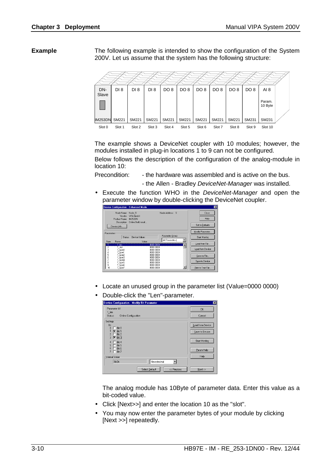The following example is intended to show the configuration of the System 200V. Let us assume that the system has the following structure: **Example** 



The example shows a DeviceNet coupler with 10 modules; however, the modules installed in plug-in locations 1 to 9 can not be configured. Below follows the description of the configuration of the analog-module in location 10:

Precondition: - the hardware was assembled and is active on the bus.  *-* the Allen - Bradley *DeviceNet-Manager* was installed.

• Execute the function WHO in the *DeviceNet-Manager* and open the parameter window by double-clicking the DeviceNet coupler.



- Locate an unused group in the parameter list (Value=0000 0000)
- Double-click the "Len"-parameter.

| Device Configuration - Modify Bit Parameter                                                                                                                                                                                                | $\overline{\mathbf{x}}$                                                          |
|--------------------------------------------------------------------------------------------------------------------------------------------------------------------------------------------------------------------------------------------|----------------------------------------------------------------------------------|
| Parameter #1<br>$1$ len<br>Status:<br><b>Online Configuration</b>                                                                                                                                                                          | <b>OK</b><br>Cancel                                                              |
| Settings<br>Bit<br>Bit 0<br>$\mathbf{0}$<br>ℼ<br>Bit 1<br>$\overline{\phantom{a}}$<br>Bit 2<br>$\triangleright$ Bit 3<br>3<br>Bit 4<br>Bit 5<br>5<br>6<br><b>Bit 6</b><br>$\overline{7}$<br>Bit 7<br>Internal Value<br>Hexadecimal<br>0x0A | Load from Device<br>Save to Device<br><b>Start Monitor</b><br>Param Help<br>Help |
| << Previous<br>Select Default                                                                                                                                                                                                              | Next >>                                                                          |

The analog module has 10Byte of parameter data. Enter this value as a bit-coded value.

- Click [Next>>] and enter the location 10 as the "slot".
- You may now enter the parameter bytes of your module by clicking [Next >>] repeatedly.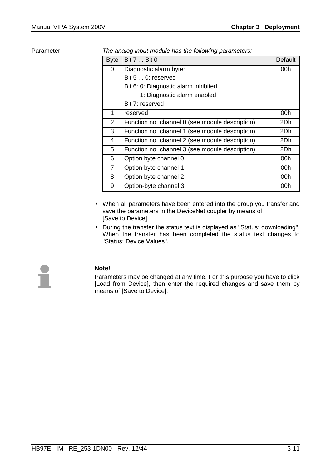#### Parameter

*The analog input module has the following parameters:* 

| <b>Byte</b>    | Bit 7  Bit 0                                    | <b>Default</b> |
|----------------|-------------------------------------------------|----------------|
| 0              | Diagnostic alarm byte:                          | 00h            |
|                | Bit 5  0: reserved                              |                |
|                | Bit 6: 0: Diagnostic alarm inhibited            |                |
|                | 1: Diagnostic alarm enabled                     |                |
|                | Bit 7: reserved                                 |                |
| 1              | reserved                                        | 00h            |
| $\overline{2}$ | Function no. channel 0 (see module description) | 2Dh            |
| 3              | Function no. channel 1 (see module description) | 2Dh            |
| 4              | Function no. channel 2 (see module description) | 2Dh            |
| 5              | Function no. channel 3 (see module description) | 2Dh            |
| 6              | Option byte channel 0                           | 00h            |
| $\overline{7}$ | Option byte channel 1                           | 00h            |
| 8              | Option byte channel 2                           | 00h            |
| 9              | Option-byte channel 3                           | 00h            |

- When all parameters have been entered into the group you transfer and save the parameters in the DeviceNet coupler by means of [Save to Device].
- During the transfer the status text is displayed as "Status: downloading". When the transfer has been completed the status text changes to "Status: Device Values".



### **Note!**

Parameters may be changed at any time. For this purpose you have to click [Load from Device], then enter the required changes and save them by means of [Save to Device].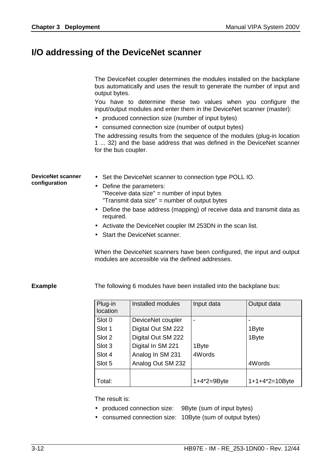### <span id="page-43-0"></span>**I/O addressing of the DeviceNet scanner**

The DeviceNet coupler determines the modules installed on the backplane bus automatically and uses the result to generate the number of input and output bytes.

You have to determine these two values when you configure the input/output modules and enter them in the DeviceNet scanner (master):

- produced connection size (number of input bytes)
- consumed connection size (number of output bytes)

The addressing results from the sequence of the modules (plug-in location 1 ... 32) and the base address that was defined in the DeviceNet scanner for the bus coupler.

• Set the DeviceNet scanner to connection type POLL IO. • Define the parameters: "Receive data size" = number of input bytes "Transmit data size" = number of output bytes **DeviceNet scanner configuration**

- Define the base address (mapping) of receive data and transmit data as required.
- Activate the DeviceNet coupler IM 253DN in the scan list.
- Start the DeviceNet scanner.

When the DeviceNet scanners have been configured, the input and output modules are accessible via the defined addresses.

#### **Example**

The following 6 modules have been installed into the backplane bus:

| Plug-in<br>location | Installed modules  | Input data      | Output data        |
|---------------------|--------------------|-----------------|--------------------|
| Slot 0              | DeviceNet coupler  |                 |                    |
| Slot 1              | Digital Out SM 222 |                 | 1Byte              |
| Slot 2              | Digital Out SM 222 |                 | 1Byte              |
| Slot 3              | Digital In SM 221  | 1Byte           |                    |
| Slot 4              | Analog In SM 231   | 4Words          |                    |
| Slot 5              | Analog Out SM 232  |                 | 4Words             |
|                     |                    |                 |                    |
| Total:              |                    | $1+4^*2=9B$ yte | $1+1+4^*2=10$ Byte |

The result is:

- produced connection size: 9Byte (sum of input bytes)
- consumed connection size: 10Byte (sum of output bytes)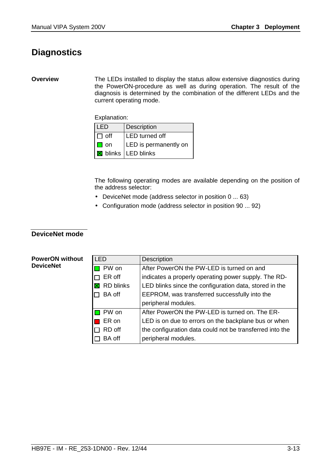## <span id="page-44-0"></span>**Diagnostics**

#### **Overview**

The LEDs installed to display the status allow extensive diagnostics during the PowerON-procedure as well as during operation. The result of the diagnosis is determined by the combination of the different LEDs and the current operating mode.

Explanation:

| <b>ILED</b> | Description                  |
|-------------|------------------------------|
| I⊓ off      | <b>LED</b> turned off        |
| on          | LED is permanently on        |
|             | <b>X</b> blinks   LED blinks |

The following operating modes are available depending on the position of the address selector:

- DeviceNet mode (address selector in position 0 ... 63)
- Configuration mode (address selector in position 90 ... 92)

### **DeviceNet mode**

#### **PowerON without DeviceNet**

| <b>LED</b>       | <b>Description</b>                                       |  |
|------------------|----------------------------------------------------------|--|
| PW on            | After PowerON the PW-LED is turned on and                |  |
| ER off           | indicates a properly operating power supply. The RD-     |  |
| <b>RD blinks</b> | LED blinks since the configuration data, stored in the   |  |
| <b>BA</b> off    | EEPROM, was transferred successfully into the            |  |
|                  | peripheral modules.                                      |  |
| <b>□</b> PW on   | After PowerON the PW-LED is turned on. The ER-           |  |
| ER on            | LED is on due to errors on the backplane bus or when     |  |
| RD off           | the configuration data could not be transferred into the |  |
| <b>BA</b> off    | peripheral modules.                                      |  |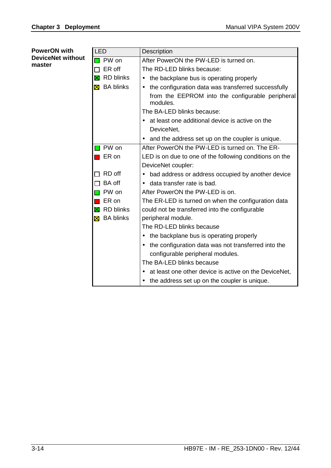| <b>PowerON with</b>      | <b>LED</b>            | Description                                                        |
|--------------------------|-----------------------|--------------------------------------------------------------------|
| <b>DeviceNet without</b> | PW on                 | After PowerON the PW-LED is turned on.                             |
| master                   | ER off                | The RD-LED blinks because:                                         |
|                          | <b>RD blinks</b><br>X | the backplane bus is operating properly<br>٠                       |
|                          | <b>X</b> BA blinks    | the configuration data was transferred successfully<br>$\bullet$   |
|                          |                       | from the EEPROM into the configurable peripheral<br>modules.       |
|                          |                       | The BA-LED blinks because:                                         |
|                          |                       | at least one additional device is active on the<br>$\bullet$       |
|                          |                       | DeviceNet,                                                         |
|                          |                       | and the address set up on the coupler is unique.                   |
|                          | PW on                 | After PowerON the PW-LED is turned on. The ER-                     |
|                          | ER on                 | LED is on due to one of the following conditions on the            |
|                          |                       | DeviceNet coupler:                                                 |
|                          | RD off                | bad address or address occupied by another device<br>$\bullet$     |
|                          | BA off                | • data transfer rate is bad.                                       |
|                          | PW on                 | After PowerON the PW-LED is on.                                    |
|                          | ER on                 | The ER-LED is turned on when the configuration data                |
|                          | <b>X</b> RD blinks    | could not be transferred into the configurable                     |
|                          | <b>X</b> BA blinks    | peripheral module.                                                 |
|                          |                       | The RD-LED blinks because                                          |
|                          |                       | the backplane bus is operating properly<br>٠                       |
|                          |                       | the configuration data was not transferred into the<br>$\bullet$   |
|                          |                       | configurable peripheral modules.                                   |
|                          |                       | The BA-LED blinks because                                          |
|                          |                       | at least one other device is active on the DeviceNet,<br>$\bullet$ |
|                          |                       | the address set up on the coupler is unique.<br>$\bullet$          |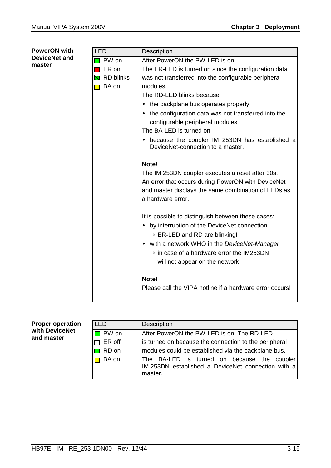### LED | Description **PW on** After PowerON the PW-LED is on.  $\blacksquare$  ER on  $\blacksquare$  The ER-LED is turned on since the configuration data  $\boxtimes$  RD blinks  $\parallel$  was not transferred into the configurable peripheral  $\Box$  BA on | modules. The RD-LED blinks because • the backplane bus operates properly • the configuration data was not transferred into the configurable peripheral modules. The BA-LED is turned on • because the coupler IM 253DN has established a DeviceNet-connection to a master. **Note!**  The IM 253DN coupler executes a reset after 30s. An error that occurs during PowerON with DeviceNet and master displays the same combination of LEDs as a hardware error. It is possible to distinguish between these cases: • by interruption of the DeviceNet connection  $\rightarrow$  ER-LED and RD are blinking! • with a network WHO in the *DeviceNet-Manager*  $\rightarrow$  in case of a hardware error the IM253DN will not appear on the network. **Note!** Please call the VIPA hotline if a hardware error occurs! **PowerON with DeviceNet and master**

#### **Proper operation with DeviceNet and master**

| I FD   | <b>Description</b>                                                                                           |  |  |
|--------|--------------------------------------------------------------------------------------------------------------|--|--|
| PW on  | After PowerON the PW-LED is on. The RD-LED                                                                   |  |  |
| ER off | is turned on because the connection to the peripheral                                                        |  |  |
| RD on  | modules could be established via the backplane bus.                                                          |  |  |
| BA on  | The BA-LED is turned on because the coupler<br>IM 253DN established a DeviceNet connection with a<br>master. |  |  |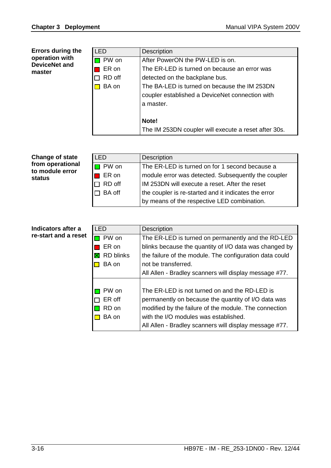| <b>Errors during the</b><br>operation with<br><b>DeviceNet and</b><br>master | <b>LED</b> | <b>Description</b>                                   |
|------------------------------------------------------------------------------|------------|------------------------------------------------------|
|                                                                              | PW on      | After PowerON the PW-LED is on.                      |
|                                                                              | ER on      | The ER-LED is turned on because an error was         |
|                                                                              | RD off     | detected on the backplane bus.                       |
|                                                                              | BA on      | The BA-LED is turned on because the IM 253DN         |
|                                                                              |            | coupler established a DeviceNet connection with      |
|                                                                              |            | a master.                                            |
|                                                                              |            |                                                      |
|                                                                              |            | Note!                                                |
|                                                                              |            | The IM 253DN coupler will execute a reset after 30s. |

| <b>Change of state</b><br>from operational<br>to module error<br>status | LED.          | <b>Description</b>                                   |
|-------------------------------------------------------------------------|---------------|------------------------------------------------------|
|                                                                         | <b>PW</b> on  | The ER-LED is turned on for 1 second because a       |
|                                                                         | ER on         | module error was detected. Subsequently the coupler  |
|                                                                         | $\Box$ RD off | IM 253DN will execute a reset. After the reset       |
|                                                                         | $\Box$ BA off | the coupler is re-started and it indicates the error |
|                                                                         |               | by means of the respective LED combination.          |

### **Indicators after a re-start and a reset**

| I FD                            | <b>Description</b>                                      |  |
|---------------------------------|---------------------------------------------------------|--|
| PW on                           | The ER-LED is turned on permanently and the RD-LED      |  |
| ER on                           | blinks because the quantity of I/O data was changed by  |  |
| <b>RD</b> blinks<br>$\boxtimes$ | the failure of the module. The configuration data could |  |
| BA on                           | not be transferred.                                     |  |
|                                 | All Allen - Bradley scanners will display message #77.  |  |
|                                 |                                                         |  |
| PW on                           | The ER-LED is not turned on and the RD-LED is           |  |
| ER off                          | permanently on because the quantity of I/O data was     |  |
| RD on                           | modified by the failure of the module. The connection   |  |
| BA on                           | with the I/O modules was established.                   |  |
|                                 | All Allen - Bradley scanners will display message #77.  |  |